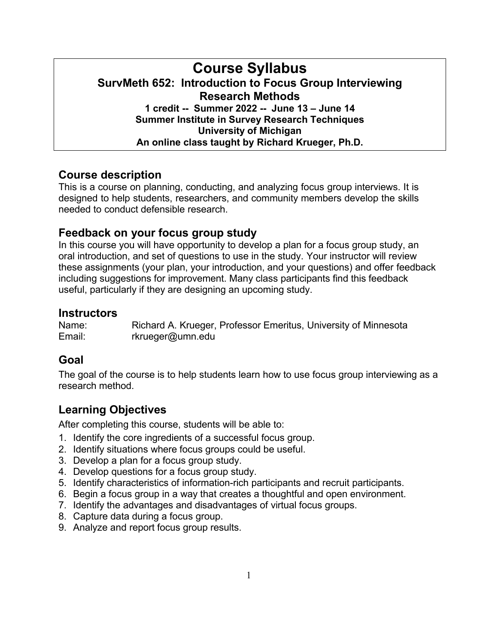## **Course Syllabus SurvMeth 652: Introduction to Focus Group Interviewing Research Methods 1 credit -- Summer 2022 -- June 13 – June 14 Summer Institute in Survey Research Techniques University of Michigan An online class taught by Richard Krueger, Ph.D.**

## **Course description**

This is a course on planning, conducting, and analyzing focus group interviews. It is designed to help students, researchers, and community members develop the skills needed to conduct defensible research.

## **Feedback on your focus group study**

In this course you will have opportunity to develop a plan for a focus group study, an oral introduction, and set of questions to use in the study. Your instructor will review these assignments (your plan, your introduction, and your questions) and offer feedback including suggestions for improvement. Many class participants find this feedback useful, particularly if they are designing an upcoming study.

## **Instructors**

Name: Richard A. Krueger, Professor Emeritus, University of Minnesota Email: [rkrueger@umn.edu](mailto:rkrueger@umn.edu)

# **Goal**

The goal of the course is to help students learn how to use focus group interviewing as a research method.

# **Learning Objectives**

After completing this course, students will be able to:

- 1. Identify the core ingredients of a successful focus group.
- 2. Identify situations where focus groups could be useful.
- 3. Develop a plan for a focus group study.
- 4. Develop questions for a focus group study.
- 5. Identify characteristics of information-rich participants and recruit participants.
- 6. Begin a focus group in a way that creates a thoughtful and open environment.
- 7. Identify the advantages and disadvantages of virtual focus groups.
- 8. Capture data during a focus group.
- 9. Analyze and report focus group results.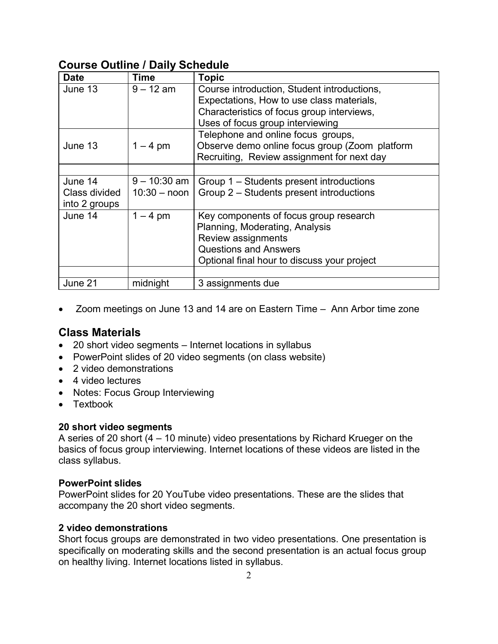## **Course Outline / Daily Schedule**

| <b>Date</b>   | <b>Time</b>    | <b>Topic</b>                                   |
|---------------|----------------|------------------------------------------------|
| June 13       | $9 - 12$ am    | Course introduction, Student introductions,    |
|               |                | Expectations, How to use class materials,      |
|               |                | Characteristics of focus group interviews,     |
|               |                | Uses of focus group interviewing               |
|               |                | Telephone and online focus groups,             |
| June 13       | $1 - 4$ pm     | Observe demo online focus group (Zoom platform |
|               |                | Recruiting, Review assignment for next day     |
|               |                |                                                |
| June 14       | $9 - 10:30$ am | Group 1 – Students present introductions       |
| Class divided | $10:30 -$ noon | Group 2 – Students present introductions       |
| into 2 groups |                |                                                |
| June 14       | $1 - 4$ pm     | Key components of focus group research         |
|               |                | Planning, Moderating, Analysis                 |
|               |                | Review assignments                             |
|               |                | <b>Questions and Answers</b>                   |
|               |                | Optional final hour to discuss your project    |
|               |                |                                                |
| June 21       | midnight       | 3 assignments due                              |

• Zoom meetings on June 13 and 14 are on Eastern Time – Ann Arbor time zone

## **Class Materials**

- 20 short video segments Internet locations in syllabus
- PowerPoint slides of 20 video segments (on class website)
- 2 video demonstrations
- 4 video lectures
- Notes: Focus Group Interviewing
- Textbook

#### **20 short video segments**

A series of 20 short (4 – 10 minute) video presentations by Richard Krueger on the basics of focus group interviewing. Internet locations of these videos are listed in the class syllabus.

#### **PowerPoint slides**

PowerPoint slides for 20 YouTube video presentations. These are the slides that accompany the 20 short video segments.

#### **2 video demonstrations**

Short focus groups are demonstrated in two video presentations. One presentation is specifically on moderating skills and the second presentation is an actual focus group on healthy living. Internet locations listed in syllabus.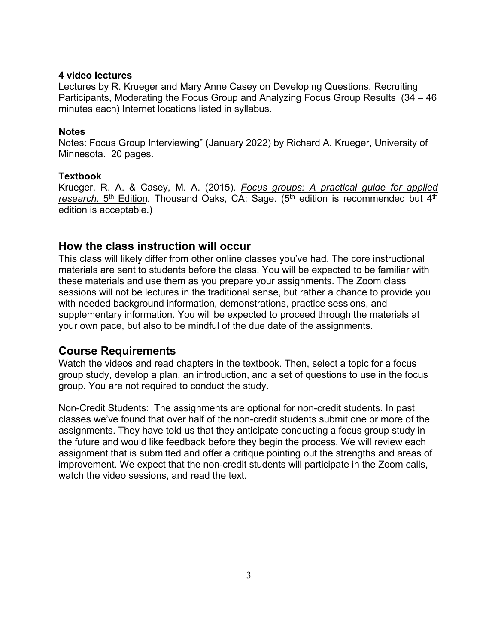#### **4 video lectures**

Lectures by R. Krueger and Mary Anne Casey on Developing Questions, Recruiting Participants, Moderating the Focus Group and Analyzing Focus Group Results (34 – 46 minutes each) Internet locations listed in syllabus.

#### **Notes**

Notes: Focus Group Interviewing" (January 2022) by Richard A. Krueger, University of Minnesota. 20 pages.

#### **Textbook**

Krueger, R. A. & Casey, M. A. (2015). *Focus groups: A practical guide for applied* research. 5<sup>th</sup> Edition. Thousand Oaks, CA: Sage. (5<sup>th</sup> edition is recommended but 4<sup>th</sup> edition is acceptable.)

## **How the class instruction will occur**

This class will likely differ from other online classes you've had. The core instructional materials are sent to students before the class. You will be expected to be familiar with these materials and use them as you prepare your assignments. The Zoom class sessions will not be lectures in the traditional sense, but rather a chance to provide you with needed background information, demonstrations, practice sessions, and supplementary information. You will be expected to proceed through the materials at your own pace, but also to be mindful of the due date of the assignments.

## **Course Requirements**

Watch the videos and read chapters in the textbook. Then, select a topic for a focus group study, develop a plan, an introduction, and a set of questions to use in the focus group. You are not required to conduct the study.

Non-Credit Students: The assignments are optional for non-credit students. In past classes we've found that over half of the non-credit students submit one or more of the assignments. They have told us that they anticipate conducting a focus group study in the future and would like feedback before they begin the process. We will review each assignment that is submitted and offer a critique pointing out the strengths and areas of improvement. We expect that the non-credit students will participate in the Zoom calls, watch the video sessions, and read the text.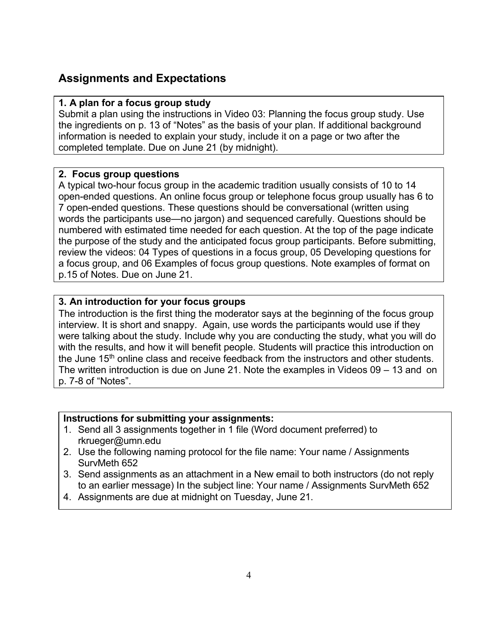## **Assignments and Expectations**

#### **1. A plan for a focus group study**

Submit a plan using the instructions in Video 03: Planning the focus group study. Use the ingredients on p. 13 of "Notes" as the basis of your plan. If additional background information is needed to explain your study, include it on a page or two after the completed template. Due on June 21 (by midnight).

#### **2. Focus group questions**

A typical two-hour focus group in the academic tradition usually consists of 10 to 14 open-ended questions. An online focus group or telephone focus group usually has 6 to 7 open-ended questions. These questions should be conversational (written using words the participants use—no jargon) and sequenced carefully. Questions should be numbered with estimated time needed for each question. At the top of the page indicate the purpose of the study and the anticipated focus group participants. Before submitting, review the videos: 04 Types of questions in a focus group, 05 Developing questions for a focus group, and 06 Examples of focus group questions. Note examples of format on p.15 of Notes. Due on June 21.

#### **3. An introduction for your focus groups**

The introduction is the first thing the moderator says at the beginning of the focus group interview. It is short and snappy. Again, use words the participants would use if they were talking about the study. Include why you are conducting the study, what you will do with the results, and how it will benefit people. Students will practice this introduction on the June 15<sup>th</sup> online class and receive feedback from the instructors and other students. The written introduction is due on June 21. Note the examples in Videos 09 – 13 and on p. 7-8 of "Notes".

#### **Instructions for submitting your assignments:**

- 1. Send all 3 assignments together in 1 file (Word document preferred) to rkrueger@umn.edu
- 2. Use the following naming protocol for the file name: Your name / Assignments SurvMeth 652
- 3. Send assignments as an attachment in a New email to both instructors (do not reply to an earlier message) In the subject line: Your name / Assignments SurvMeth 652
- 4. Assignments are due at midnight on Tuesday, June 21.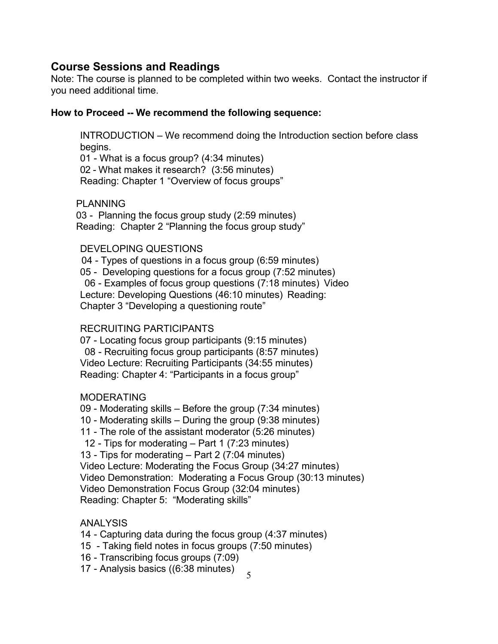## **Course Sessions and Readings**

Note: The course is planned to be completed within two weeks. Contact the instructor if you need additional time.

### **How to Proceed -- We recommend the following sequence:**

INTRODUCTION – We recommend doing the Introduction section before class begins.

01 - What is a focus group? (4:34 minutes) 02 - What makes it research? (3:56 minutes) Reading: Chapter 1 "Overview of focus groups"

#### PLANNING

03 - Planning the focus group study (2:59 minutes) Reading: Chapter 2 "Planning the focus group study"

### DEVELOPING QUESTIONS

 04 - Types of questions in a focus group (6:59 minutes) 05 - Developing questions for a focus group (7:52 minutes) 06 - Examples of focus group questions (7:18 minutes) Video Lecture: Developing Questions (46:10 minutes) Reading: Chapter 3 "Developing a questioning route"

## RECRUITING PARTICIPANTS

07 - Locating focus group participants (9:15 minutes) 08 - Recruiting focus group participants (8:57 minutes) Video Lecture: Recruiting Participants (34:55 minutes) Reading: Chapter 4: "Participants in a focus group"

## MODERATING

09 - Moderating skills – Before the group (7:34 minutes)

10 - Moderating skills – During the group (9:38 minutes)

11 - The role of the assistant moderator (5:26 minutes)

12 - Tips for moderating – Part 1 (7:23 minutes)

13 - Tips for moderating – Part 2 (7:04 minutes)

Video Lecture: Moderating the Focus Group (34:27 minutes)

Video Demonstration: Moderating a Focus Group (30:13 minutes)

Video Demonstration Focus Group (32:04 minutes)

Reading: Chapter 5: "Moderating skills"

## ANALYSIS

- 14 Capturing data during the focus group (4:37 minutes)
- 15 Taking field notes in focus groups (7:50 minutes)
- 16 Transcribing focus groups (7:09)

17 - Analysis basics ((6:38 minutes)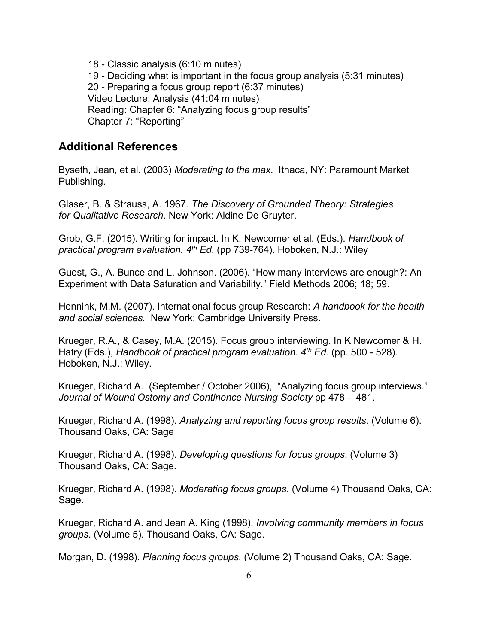18 - Classic analysis (6:10 minutes) 19 - Deciding what is important in the focus group analysis (5:31 minutes) 20 - Preparing a focus group report (6:37 minutes) Video Lecture: Analysis (41:04 minutes) Reading: Chapter 6: "Analyzing focus group results" Chapter 7: "Reporting"

#### **Additional References**

Byseth, Jean, et al. (2003) *Moderating to the max*. Ithaca, NY: Paramount Market Publishing.

Glaser, B. & Strauss, A. 1967. *The Discovery of Grounded Theory: Strategies for Qualitative Research*. New York: Aldine De Gruyter.

Grob, G.F. (2015). Writing for impact. In K. Newcomer et al. (Eds.). *Handbook of practical program evaluation. 4th Ed*. (pp 739-764). Hoboken, N.J.: Wiley

Guest, G., A. Bunce and L. Johnson. (2006). "How many interviews are enough?: An Experiment with Data Saturation and Variability." Field Methods 2006; 18; 59.

Hennink, M.M. (2007). International focus group Research: *A handbook for the health and social sciences.* New York: Cambridge University Press.

Krueger, R.A., & Casey, M.A. (2015). Focus group interviewing. In K Newcomer & H. Hatry (Eds.), *Handbook of practical program evaluation. 4th Ed.* (pp. 500 - 528). Hoboken, N.J.: Wiley.

Krueger, Richard A. (September / October 2006), "Analyzing focus group interviews." *Journal of Wound Ostomy and Continence Nursing Society* pp 478 - 481.

Krueger, Richard A. (1998). *Analyzing and reporting focus group results*. (Volume 6). Thousand Oaks, CA: Sage

Krueger, Richard A. (1998). *Developing questions for focus groups*. (Volume 3) Thousand Oaks, CA: Sage.

Krueger, Richard A. (1998). *Moderating focus groups*. (Volume 4) Thousand Oaks, CA: Sage.

Krueger, Richard A. and Jean A. King (1998). *Involving community members in focus groups*. (Volume 5). Thousand Oaks, CA: Sage.

Morgan, D. (1998). *Planning focus groups*. (Volume 2) Thousand Oaks, CA: Sage.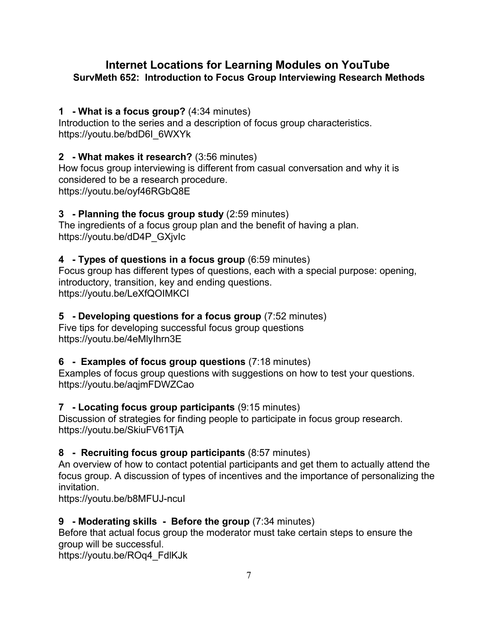## **Internet Locations for Learning Modules on YouTube SurvMeth 652: Introduction to Focus Group Interviewing Research Methods**

## **1 - What is a focus group?** (4:34 minutes)

Introduction to the series and a description of focus group characteristics. https://youtu.be/bdD6I\_6WXYk

## **2 - What makes it research?** (3:56 minutes)

How focus group interviewing is different from casual conversation and why it is considered to be a research procedure. https://youtu.be/oyf46RGbQ8E

## **3 - Planning the focus group study** (2:59 minutes)

The ingredients of a focus group plan and the benefit of having a plan. https://youtu.be/dD4P\_GXjvIc

## **4 - Types of questions in a focus group** (6:59 minutes)

Focus group has different types of questions, each with a special purpose: opening, introductory, transition, key and ending questions. https://youtu.be/LeXfQOIMKCI

## **5 - Developing questions for a focus group** (7:52 minutes)

Five tips for developing successful focus group questions https://youtu.be/4eMlyIhrn3E

## **6 - Examples of focus group questions** (7:18 minutes)

Examples of focus group questions with suggestions on how to test your questions. https://youtu.be/aqjmFDWZCao

## **7 - Locating focus group participants** (9:15 minutes)

Discussion of strategies for finding people to participate in focus group research. https://youtu.be/SkiuFV61TjA

## **8 - Recruiting focus group participants** (8:57 minutes)

An overview of how to contact potential participants and get them to actually attend the focus group. A discussion of types of incentives and the importance of personalizing the invitation.

https://youtu.be/b8MFUJ-ncuI

## **9 - Moderating skills - Before the group** (7:34 minutes)

Before that actual focus group the moderator must take certain steps to ensure the group will be successful.

[https://youtu.be/ROq4\\_FdlKJk](https://youtu.be/ROq4_FdlKJk)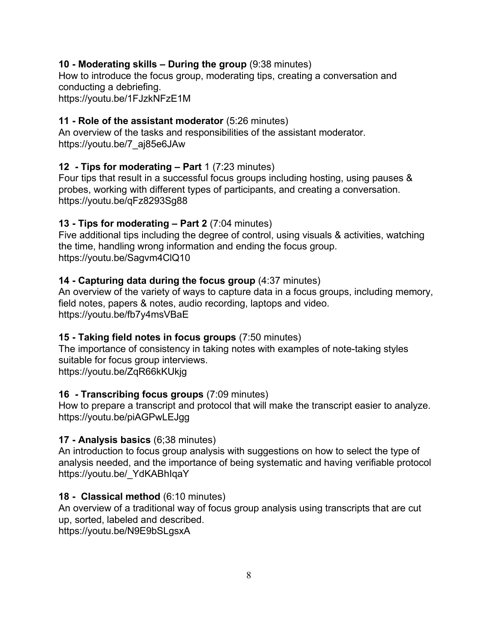#### **10 - Moderating skills – During the group** (9:38 minutes)

How to introduce the focus group, moderating tips, creating a conversation and conducting a debriefing.

<https://youtu.be/1FJzkNFzE1M>

### **11 - Role of the assistant moderator** (5:26 minutes)

An overview of the tasks and responsibilities of the assistant moderator. https://youtu.be/7\_aj85e6JAw

## **12 - Tips for moderating – Part** 1 (7:23 minutes)

Four tips that result in a successful focus groups including hosting, using pauses & probes, working with different types of participants, and creating a conversation. https://youtu.be/qFz8293Sg88

### **13 - Tips for moderating – Part 2** (7:04 minutes)

Five additional tips including the degree of control, using visuals & activities, watching the time, handling wrong information and ending the focus group. https://youtu.be/Sagvm4ClQ10

### **14 - Capturing data during the focus group** (4:37 minutes)

An overview of the variety of ways to capture data in a focus groups, including memory, field notes, papers & notes, audio recording, laptops and video. https://youtu.be/fb7y4msVBaE

## **15 - Taking field notes in focus groups** (7:50 minutes)

The importance of consistency in taking notes with examples of note-taking styles suitable for focus group interviews. https://youtu.be/ZqR66kKUkjg

#### **16 - Transcribing focus groups** (7:09 minutes)

How to prepare a transcript and protocol that will make the transcript easier to analyze. https://youtu.be/piAGPwLEJgg

## **17 - Analysis basics** (6;38 minutes)

An introduction to focus group analysis with suggestions on how to select the type of analysis needed, and the importance of being systematic and having verifiable protocol https://youtu.be/\_YdKABhIqaY

## **18 - Classical method** (6:10 minutes)

An overview of a traditional way of focus group analysis using transcripts that are cut up, sorted, labeled and described.

https://youtu.be/N9E9bSLgsxA